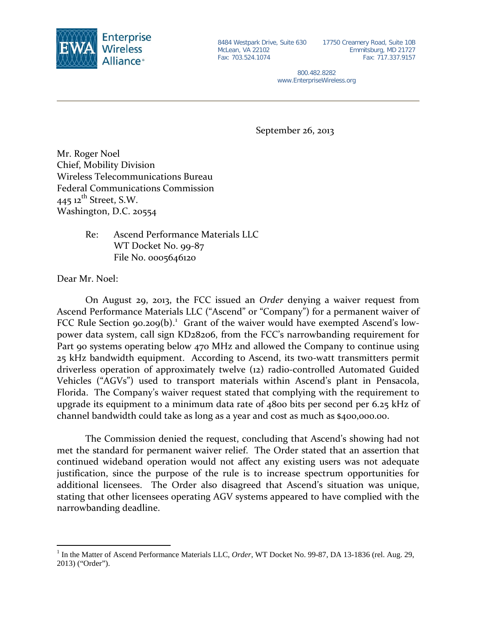

McLean, VA 22102 Fax: 703.524.1074

8484 Westpark Drive, Suite 630 17750 Creamery Road, Suite 10B Emmitsburg, MD 21727 Fax: 717.337.9157

> 800.482.8282 www.EnterpriseWireless.org

September 26, 2013

Mr. Roger Noel Chief, Mobility Division Wireless Telecommunications Bureau Federal Communications Commission  $445$  12<sup>th</sup> Street, S.W. Washington, D.C. 20554

> Re: Ascend Performance Materials LLC WT Docket No. 99-87 File No. 0005646120

Dear Mr. Noel:

On August 29, 2013, the FCC issued an *Order* denying a waiver request from Ascend Performance Materials LLC ("Ascend" or "Company") for a permanent waiver of FCC Rule Section 90.209(b).<sup>[1](#page-0-0)</sup> Grant of the waiver would have exempted Ascend's lowpower data system, call sign KD28206, from the FCC's narrowbanding requirement for Part 90 systems operating below 470 MHz and allowed the Company to continue using 25 kHz bandwidth equipment. According to Ascend, its two-watt transmitters permit driverless operation of approximately twelve (12) radio-controlled Automated Guided Vehicles ("AGVs") used to transport materials within Ascend's plant in Pensacola, Florida. The Company's waiver request stated that complying with the requirement to upgrade its equipment to a minimum data rate of 4800 bits per second per 6.25 kHz of channel bandwidth could take as long as a year and cost as much as \$400,000.00.

The Commission denied the request, concluding that Ascend's showing had not met the standard for permanent waiver relief. The Order stated that an assertion that continued wideband operation would not affect any existing users was not adequate justification, since the purpose of the rule is to increase spectrum opportunities for additional licensees. The Order also disagreed that Ascend's situation was unique, stating that other licensees operating AGV systems appeared to have complied with the narrowbanding deadline.

<span id="page-0-0"></span><sup>&</sup>lt;sup>1</sup> In the Matter of Ascend Performance Materials LLC, *Order*, WT Docket No. 99-87, DA 13-1836 (rel. Aug. 29, 2013) ("Order").